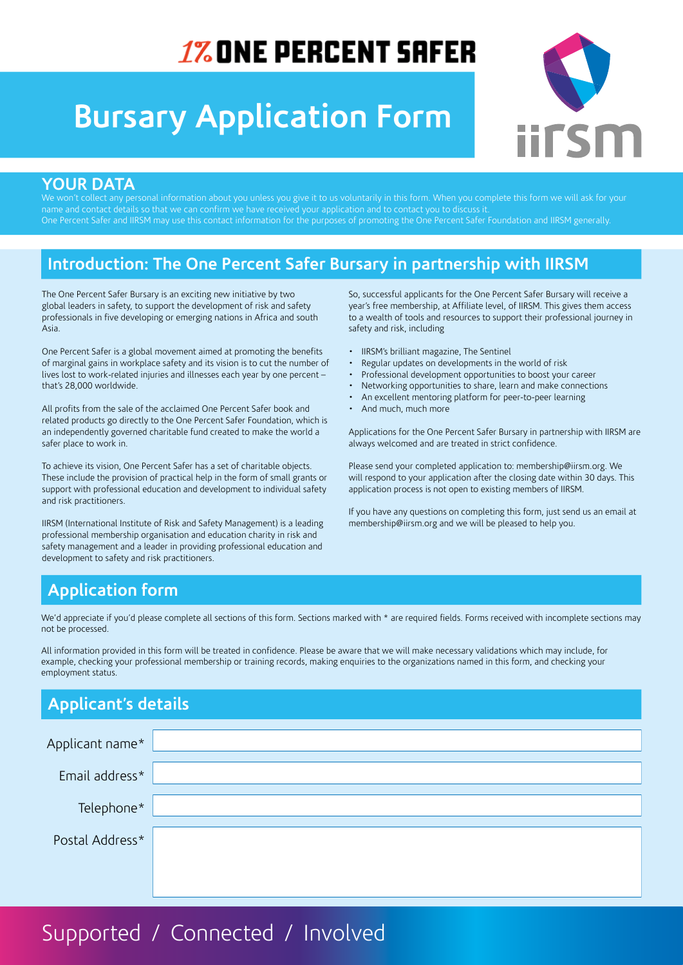# **1% ONE PERCENT SAFER**

# **Bursary Application Form**



#### **YOUR DATA**

We won't collect any personal information about you unless you give it to us voluntarily in this form. When you complete this form we will ask for your name and contact details so that we can confirm we have received your application and to contact you to discuss it. One Percent Safer and IIRSM may use this contact information for the purposes of promoting the One Percent Safer Foundation and IIRSM generally.

## **Introduction: The One Percent Safer Bursary in partnership with IIRSM**

The One Percent Safer Bursary is an exciting new initiative by two global leaders in safety, to support the development of risk and safety professionals in five developing or emerging nations in Africa and south Asia.

One Percent Safer is a global movement aimed at promoting the benefits of marginal gains in workplace safety and its vision is to cut the number of lives lost to work-related injuries and illnesses each year by one percent – that's 28,000 worldwide.

All profits from the sale of the acclaimed One Percent Safer book and related products go directly to the One Percent Safer Foundation, which is an independently governed charitable fund created to make the world a safer place to work in.

To achieve its vision, One Percent Safer has a set of charitable objects. These include the provision of practical help in the form of small grants or support with professional education and development to individual safety and risk practitioners.

IIRSM (International Institute of Risk and Safety Management) is a leading professional membership organisation and education charity in risk and safety management and a leader in providing professional education and development to safety and risk practitioners.

So, successful applicants for the One Percent Safer Bursary will receive a year's free membership, at Affiliate level, of IIRSM. This gives them access to a wealth of tools and resources to support their professional journey in safety and risk, including

- IIRSM's brilliant magazine, The Sentinel
- Regular updates on developments in the world of risk
- Professional development opportunities to boost your career
- Networking opportunities to share, learn and make connections
- An excellent mentoring platform for peer-to-peer learning
- And much, much more

Applications for the One Percent Safer Bursary in partnership with IIRSM are always welcomed and are treated in strict confidence.

Please send your completed application to: membership@iirsm.org. We will respond to your application after the closing date within 30 days. This application process is not open to existing members of IIRSM.

If you have any questions on completing this form, just send us an email at membership@iirsm.org and we will be pleased to help you.

### **Application form**

We'd appreciate if you'd please complete all sections of this form. Sections marked with \* are required fields. Forms received with incomplete sections may not be processed.

All information provided in this form will be treated in confidence. Please be aware that we will make necessary validations which may include, for example, checking your professional membership or training records, making enquiries to the organizations named in this form, and checking your employment status.

# **Applicant's details**

| Applicant name* |  |
|-----------------|--|
| Email address*  |  |
| Telephone*      |  |
| Postal Address* |  |
|                 |  |

# Supported / Connected / Involved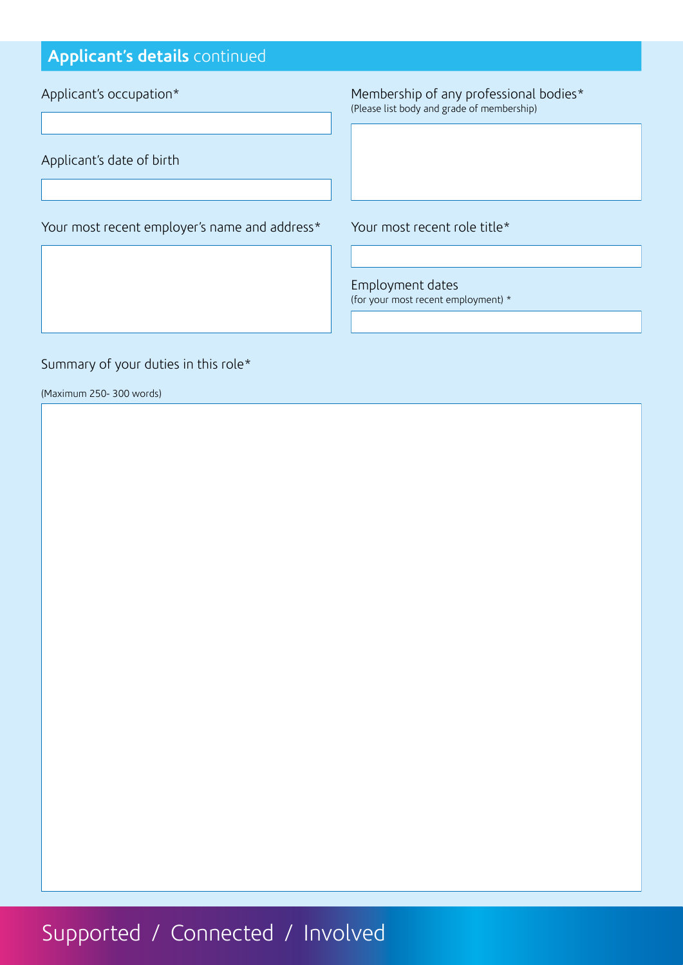## **Applicant's details** continued

Applicant's occupation\*

Membership of any professional bodies\* (Please list body and grade of membership)

Applicant's date of birth

Your most recent employer's name and address\*

Your most recent role title\*

Employment dates (for your most recent employment) \*

#### Summary of your duties in this role\*

(Maximum 250- 300 words)

# Supported / Connected / Involved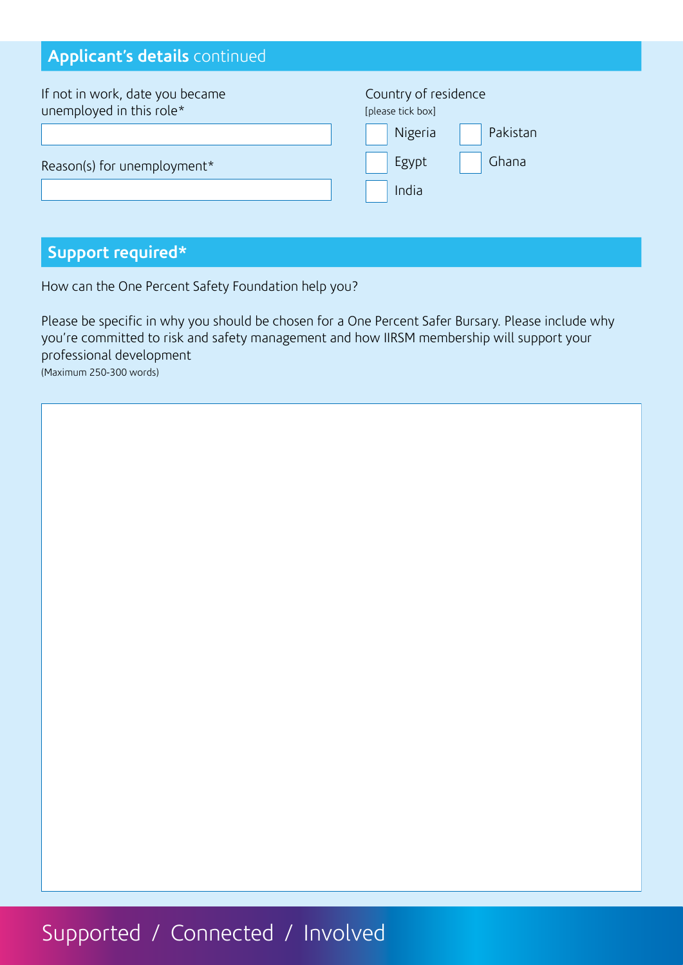## **Applicant's details** continued

| If not in work, date you became<br>unemployed in this role* | Country of residence<br>[please tick box] |  |
|-------------------------------------------------------------|-------------------------------------------|--|
|                                                             | Pakistan<br>Nigeria                       |  |
| Reason(s) for unemployment*                                 | Ghana<br>Egypt                            |  |
|                                                             | India                                     |  |

# **Support required\***

How can the One Percent Safety Foundation help you?

Please be specific in why you should be chosen for a One Percent Safer Bursary. Please include why you're committed to risk and safety management and how IIRSM membership will support your professional development (Maximum 250-300 words)

# Supported / Connected / Involved